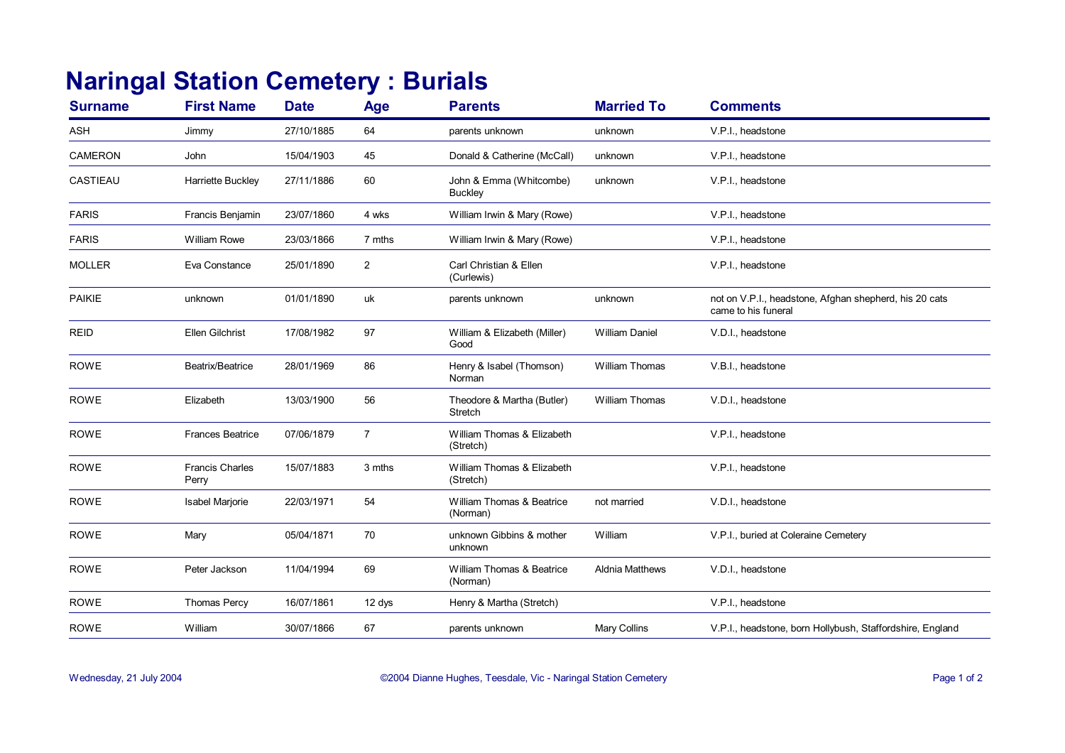## **Naringal Station Cemetery : Burials**

| <b>Surname</b> | <b>First Name</b>               | <b>Date</b> | <b>Age</b>     | <b>Parents</b>                               | <b>Married To</b>      | <b>Comments</b>                                                               |
|----------------|---------------------------------|-------------|----------------|----------------------------------------------|------------------------|-------------------------------------------------------------------------------|
| <b>ASH</b>     | Jimmy                           | 27/10/1885  | 64             | parents unknown                              | unknown                | V.P.I., headstone                                                             |
| <b>CAMERON</b> | John                            | 15/04/1903  | 45             | Donald & Catherine (McCall)                  | unknown                | V.P.I., headstone                                                             |
| CASTIEAU       | Harriette Buckley               | 27/11/1886  | 60             | John & Emma (Whitcombe)<br><b>Buckley</b>    | unknown                | V.P.I., headstone                                                             |
| <b>FARIS</b>   | Francis Benjamin                | 23/07/1860  | 4 wks          | William Irwin & Mary (Rowe)                  |                        | V.P.I., headstone                                                             |
| <b>FARIS</b>   | <b>William Rowe</b>             | 23/03/1866  | 7 mths         | William Irwin & Mary (Rowe)                  |                        | V.P.I., headstone                                                             |
| <b>MOLLER</b>  | Eva Constance                   | 25/01/1890  | $\overline{2}$ | Carl Christian & Ellen<br>(Curlewis)         |                        | V.P.I., headstone                                                             |
| <b>PAIKIE</b>  | unknown                         | 01/01/1890  | uk             | parents unknown                              | unknown                | not on V.P.I., headstone, Afghan shepherd, his 20 cats<br>came to his funeral |
| <b>REID</b>    | Ellen Gilchrist                 | 17/08/1982  | 97             | William & Elizabeth (Miller)<br>Good         | <b>William Daniel</b>  | V.D.I., headstone                                                             |
| <b>ROWE</b>    | Beatrix/Beatrice                | 28/01/1969  | 86             | Henry & Isabel (Thomson)<br>Norman           | William Thomas         | V.B.I., headstone                                                             |
| <b>ROWE</b>    | Elizabeth                       | 13/03/1900  | 56             | Theodore & Martha (Butler)<br><b>Stretch</b> | William Thomas         | V.D.I., headstone                                                             |
| <b>ROWE</b>    | <b>Frances Beatrice</b>         | 07/06/1879  | $\overline{7}$ | William Thomas & Elizabeth<br>(Stretch)      |                        | V.P.I., headstone                                                             |
| <b>ROWE</b>    | <b>Francis Charles</b><br>Perry | 15/07/1883  | 3 mths         | William Thomas & Elizabeth<br>(Stretch)      |                        | V.P.I., headstone                                                             |
| <b>ROWE</b>    | Isabel Marjorie                 | 22/03/1971  | 54             | William Thomas & Beatrice<br>(Norman)        | not married            | V.D.I., headstone                                                             |
| <b>ROWE</b>    | Mary                            | 05/04/1871  | 70             | unknown Gibbins & mother<br>unknown          | William                | V.P.I., buried at Coleraine Cemetery                                          |
| <b>ROWE</b>    | Peter Jackson                   | 11/04/1994  | 69             | William Thomas & Beatrice<br>(Norman)        | <b>Aldnia Matthews</b> | V.D.I., headstone                                                             |
| <b>ROWE</b>    | <b>Thomas Percy</b>             | 16/07/1861  | 12 dys         | Henry & Martha (Stretch)                     |                        | V.P.I., headstone                                                             |
| <b>ROWE</b>    | William                         | 30/07/1866  | 67             | parents unknown                              | <b>Mary Collins</b>    | V.P.I., headstone, born Hollybush, Staffordshire, England                     |